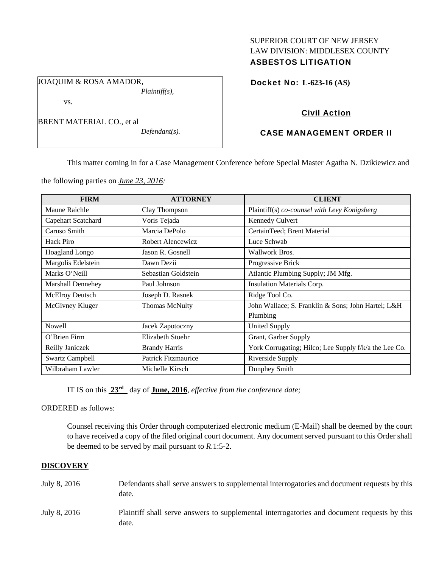# SUPERIOR COURT OF NEW JERSEY LAW DIVISION: MIDDLESEX COUNTY ASBESTOS LITIGATION

JOAQUIM & ROSA AMADOR, *Plaintiff(s),* 

vs.

BRENT MATERIAL CO., et al

*Defendant(s).* 

Docket No: **L-623-16 (AS)** 

# Civil Action

# CASE MANAGEMENT ORDER II

This matter coming in for a Case Management Conference before Special Master Agatha N. Dzikiewicz and

the following parties on *June 23, 2016:* 

| <b>FIRM</b>              | <b>ATTORNEY</b>            | <b>CLIENT</b>                                         |
|--------------------------|----------------------------|-------------------------------------------------------|
| Maune Raichle            | Clay Thompson              | Plaintiff(s) co-counsel with Levy Konigsberg          |
| Capehart Scatchard       | Voris Tejada               | Kennedy Culvert                                       |
| Caruso Smith             | Marcia DePolo              | CertainTeed; Brent Material                           |
| Hack Piro                | Robert Alencewicz          | Luce Schwab                                           |
| Hoagland Longo           | Jason R. Gosnell           | Wallwork Bros.                                        |
| Margolis Edelstein       | Dawn Dezii                 | Progressive Brick                                     |
| Marks O'Neill            | Sebastian Goldstein        | Atlantic Plumbing Supply; JM Mfg.                     |
| <b>Marshall Dennehey</b> | Paul Johnson               | Insulation Materials Corp.                            |
| McElroy Deutsch          | Joseph D. Rasnek           | Ridge Tool Co.                                        |
| McGivney Kluger          | <b>Thomas McNulty</b>      | John Wallace; S. Franklin & Sons; John Hartel; L&H    |
|                          |                            | Plumbing                                              |
| <b>Nowell</b>            | Jacek Zapotoczny           | <b>United Supply</b>                                  |
| O'Brien Firm             | Elizabeth Stoehr           | Grant, Garber Supply                                  |
| Reilly Janiczek          | <b>Brandy Harris</b>       | York Corrugating; Hilco; Lee Supply f/k/a the Lee Co. |
| <b>Swartz Campbell</b>   | <b>Patrick Fitzmaurice</b> | Riverside Supply                                      |
| Wilbraham Lawler         | Michelle Kirsch            | Dunphey Smith                                         |

IT IS on this **23rd** day of **June, 2016**, *effective from the conference date;*

ORDERED as follows:

Counsel receiving this Order through computerized electronic medium (E-Mail) shall be deemed by the court to have received a copy of the filed original court document. Any document served pursuant to this Order shall be deemed to be served by mail pursuant to *R*.1:5-2.

## **DISCOVERY**

| July 8, 2016 | Defendants shall serve answers to supplemental interrogatories and document requests by this<br>date. |
|--------------|-------------------------------------------------------------------------------------------------------|
| July 8, 2016 | Plaintiff shall serve answers to supplemental interrogatories and document requests by this<br>date.  |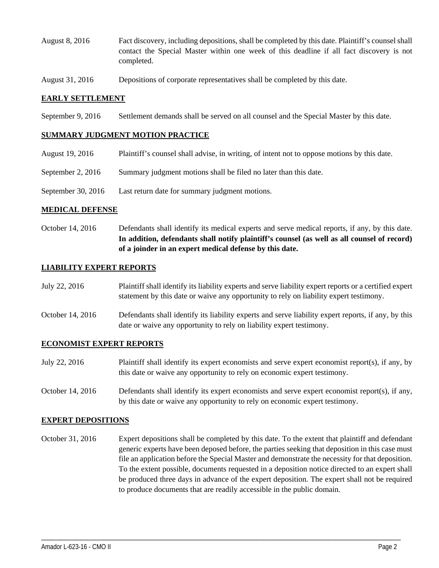- August 8, 2016 Fact discovery, including depositions, shall be completed by this date. Plaintiff's counsel shall contact the Special Master within one week of this deadline if all fact discovery is not completed.
- August 31, 2016 Depositions of corporate representatives shall be completed by this date.

## **EARLY SETTLEMENT**

September 9, 2016 Settlement demands shall be served on all counsel and the Special Master by this date.

### **SUMMARY JUDGMENT MOTION PRACTICE**

- August 19, 2016 Plaintiff's counsel shall advise, in writing, of intent not to oppose motions by this date.
- September 2, 2016 Summary judgment motions shall be filed no later than this date.
- September 30, 2016 Last return date for summary judgment motions.

#### **MEDICAL DEFENSE**

October 14, 2016 Defendants shall identify its medical experts and serve medical reports, if any, by this date. **In addition, defendants shall notify plaintiff's counsel (as well as all counsel of record) of a joinder in an expert medical defense by this date.** 

## **LIABILITY EXPERT REPORTS**

| July 22, 2016 | Plaintiff shall identify its liability experts and serve liability expert reports or a certified expert |
|---------------|---------------------------------------------------------------------------------------------------------|
|               | statement by this date or waive any opportunity to rely on liability expert testimony.                  |

October 14, 2016 Defendants shall identify its liability experts and serve liability expert reports, if any, by this date or waive any opportunity to rely on liability expert testimony.

### **ECONOMIST EXPERT REPORTS**

- July 22, 2016 Plaintiff shall identify its expert economists and serve expert economist report(s), if any, by this date or waive any opportunity to rely on economic expert testimony.
- October 14, 2016 Defendants shall identify its expert economists and serve expert economist report(s), if any, by this date or waive any opportunity to rely on economic expert testimony.

### **EXPERT DEPOSITIONS**

October 31, 2016 Expert depositions shall be completed by this date. To the extent that plaintiff and defendant generic experts have been deposed before, the parties seeking that deposition in this case must file an application before the Special Master and demonstrate the necessity for that deposition. To the extent possible, documents requested in a deposition notice directed to an expert shall be produced three days in advance of the expert deposition. The expert shall not be required to produce documents that are readily accessible in the public domain.

\_\_\_\_\_\_\_\_\_\_\_\_\_\_\_\_\_\_\_\_\_\_\_\_\_\_\_\_\_\_\_\_\_\_\_\_\_\_\_\_\_\_\_\_\_\_\_\_\_\_\_\_\_\_\_\_\_\_\_\_\_\_\_\_\_\_\_\_\_\_\_\_\_\_\_\_\_\_\_\_\_\_\_\_\_\_\_\_\_\_\_\_\_\_\_\_\_\_\_\_\_\_\_\_\_\_\_\_\_\_